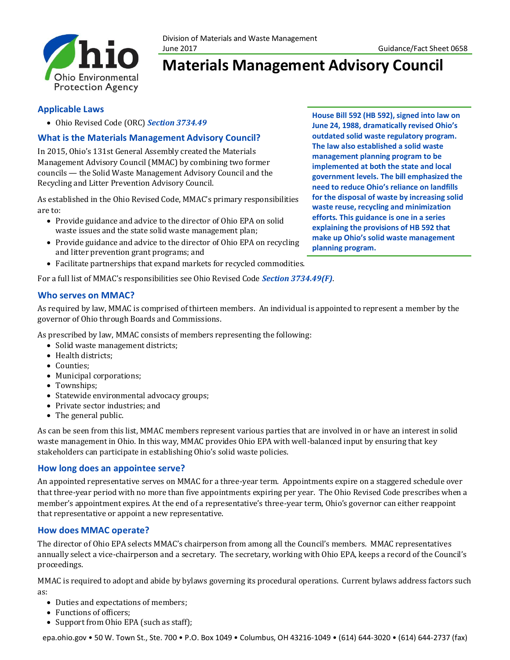

# **Materials Management Advisory Council**

### **Applicable Laws**

• Ohio Revised Code (ORC) *[Section 3734.49](http://codes.ohio.gov/orc/3734.49v1)*

# **What is the Materials Management Advisory Council?**

In 2015, Ohio's 131st General Assembly created the Materials Management Advisory Council (MMAC) by combining two former councils — the Solid Waste Management Advisory Council and the Recycling and Litter Prevention Advisory Council.

As established in the Ohio Revised Code, MMAC's primary responsibilities are to:

- Provide guidance and advice to the director of Ohio EPA on solid waste issues and the state solid waste management plan;
- Provide guidance and advice to the director of Ohio EPA on recycling and litter prevention grant programs; and
- Facilitate partnerships that expand markets for recycled commodities.

For a full list of MMAC's responsibilities see Ohio Revised Code *[Section 3734.49\(F\)](http://codes.ohio.gov/orc/3734.49v1)*.

# **Who serves on MMAC?**

As required by law, MMAC is comprised of thirteen members. An individual is appointed to represent a member by the governor of Ohio through Boards and Commissions.

As prescribed by law, MMAC consists of members representing the following:

- Solid waste management districts;
- Health districts;
- Counties;
- Municipal corporations;
- Townships;
- Statewide environmental advocacy groups;
- Private sector industries; and
- The general public.

As can be seen from this list, MMAC members represent various parties that are involved in or have an interest in solid waste management in Ohio. In this way, MMAC provides Ohio EPA with well-balanced input by ensuring that key stakeholders can participate in establishing Ohio's solid waste policies.

### **How long does an appointee serve?**

An appointed representative serves on MMAC for a three-year term. Appointments expire on a staggered schedule over that three-year period with no more than five appointments expiring per year. The Ohio Revised Code prescribes when a member's appointment expires. At the end of a representative's three-year term, Ohio's governor can either reappoint that representative or appoint a new representative.

# **How does MMAC operate?**

The director of Ohio EPA selects MMAC's chairperson from among all the Council's members. MMAC representatives annually select a vice-chairperson and a secretary. The secretary, working with Ohio EPA, keeps a record of the Council's proceedings.

MMAC is required to adopt and abide by bylaws governing its procedural operations. Current bylaws address factors such as:

- Duties and expectations of members;
- Functions of officers;
- Support from Ohio EPA (such as staff);

epa.ohio.gov • 50 W. Town St., Ste. 700 • P.O. Box 1049 • Columbus, OH 43216-1049 • (614) 644-3020 • (614) 644-2737 (fax)

**House Bill 592 (HB 592), signed into law on June 24, 1988, dramatically revised Ohio's outdated solid waste regulatory program. The law also established a solid waste management planning program to be implemented at both the state and local government levels. The bill emphasized the need to reduce Ohio's reliance on landfills for the disposal of waste by increasing solid waste reuse, recycling and minimization efforts. This guidance is one in a series explaining the provisions of HB 592 that make up Ohio's solid waste management planning program.**